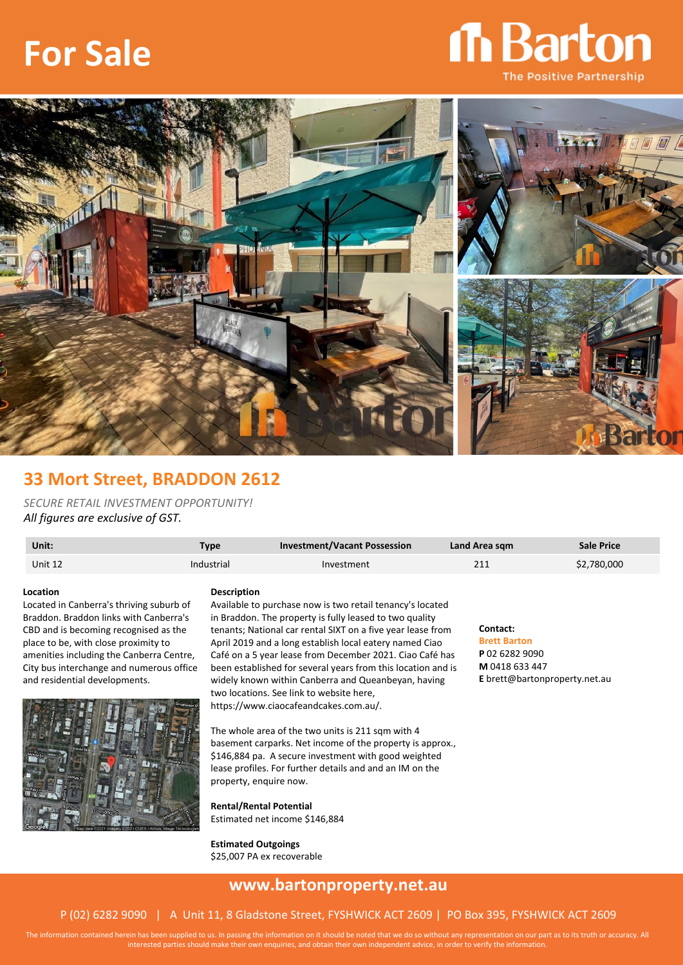# **For Sale**

## **n** Barton **The Positive Partnership**



### **33 Mort Street, BRADDON 2612**

*SECURE RETAIL INVESTMENT OPPORTUNITY! All figures are exclusive of GST.*

| Unit:   | Type       | <b>Investment/Vacant Possession</b> | Land Area sqm | <b>Sale Price</b> |
|---------|------------|-------------------------------------|---------------|-------------------|
| Unit 12 | Industrial | Investment                          | 211           | \$2,780,000       |
|         |            |                                     |               |                   |

#### **Location**

Located in Canberra's thriving suburb of Braddon. Braddon links with Canberra's CBD and is becoming recognised as the place to be, with close proximity to amenities including the Canberra Centre, City bus interchange and numerous office and residential developments.



#### **Description**

Available to purchase now is two retail tenancy's located in Braddon. The property is fully leased to two quality tenants; National car rental SIXT on a five year lease from April 2019 and a long establish local eatery named Ciao Café on a 5 year lease from December 2021. Ciao Café has been established for several years from this location and is widely known within Canberra and Queanbeyan, having two locations. See link to website here, https://www.ciaocafeandcakes.com.au/.

The whole area of the two units is 211 sqm with 4 basement carparks. Net income of the property is approx., \$146,884 pa. A secure investment with good weighted lease profiles. For further details and and an IM on the

property, enquire now. **Rental/Rental Potential**

Estimated net income \$146,884

**Estimated Outgoings** \$25,007 PA ex recoverable

#### **Contact:**

**Brett Barton P** 02 6282 9090 **M** 0418 633 447 **E** brett@bartonproperty.net.au

### **www.bartonproperty.net.au**

#### P (02) 6282 9090 | A Unit 11, 8 Gladstone Street, FYSHWICK ACT 2609 | PO Box 395, FYSHWICK ACT 2609

The information contained herein has been supplied to us. In passing the information on it should be noted that we do so without any representation on our part as to its truth or accuracy. All interested parties should make their own enquiries, and obtain their own independent advice, in order to verify the information.